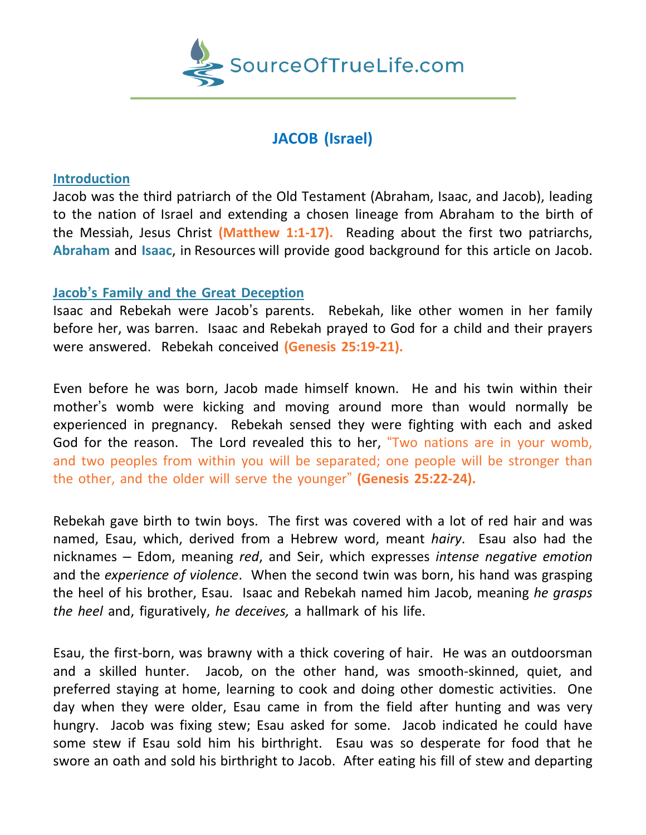

# **JACOB (Israel)**

### **Introduction**

Jacob was the third patriarch of the Old Testament (Abraham, Isaac, and Jacob), leading to the nation of Israel and extending a chosen lineage from Abraham to the birth of the Messiah, Jesus Christ **(Matthew 1:1-17).** Reading about the first two patriarchs, **Abraham** and **Isaac**, in Resources will provide good background for this article on Jacob.

## **Jacob's Family and the Great Deception**

Isaac and Rebekah were Jacob's parents. Rebekah, like other women in her family before her, was barren. Isaac and Rebekah prayed to God for a child and their prayers were answered. Rebekah conceived **(Genesis 25:19-21).**

Even before he was born, Jacob made himself known. He and his twin within their mother's womb were kicking and moving around more than would normally be experienced in pregnancy. Rebekah sensed they were fighting with each and asked God for the reason. The Lord revealed this to her, "Two nations are in your womb, and two peoples from within you will be separated; one people will be stronger than the other, and the older will serve the younger" **(Genesis 25:22-24).**

Rebekah gave birth to twin boys. The first was covered with a lot of red hair and was named, Esau, which, derived from a Hebrew word, meant *hairy*. Esau also had the nicknames – Edom, meaning *red*, and Seir, which expresses *intense negative emotion* and the *experience of violence*. When the second twin was born, his hand was grasping the heel of his brother, Esau. Isaac and Rebekah named him Jacob, meaning *he grasps the heel* and, figuratively, *he deceives,* a hallmark of his life.

Esau, the first-born, was brawny with a thick covering of hair. He was an outdoorsman and a skilled hunter. Jacob, on the other hand, was smooth-skinned, quiet, and preferred staying at home, learning to cook and doing other domestic activities. One day when they were older, Esau came in from the field after hunting and was very hungry. Jacob was fixing stew; Esau asked for some. Jacob indicated he could have some stew if Esau sold him his birthright. Esau was so desperate for food that he swore an oath and sold his birthright to Jacob. After eating his fill of stew and departing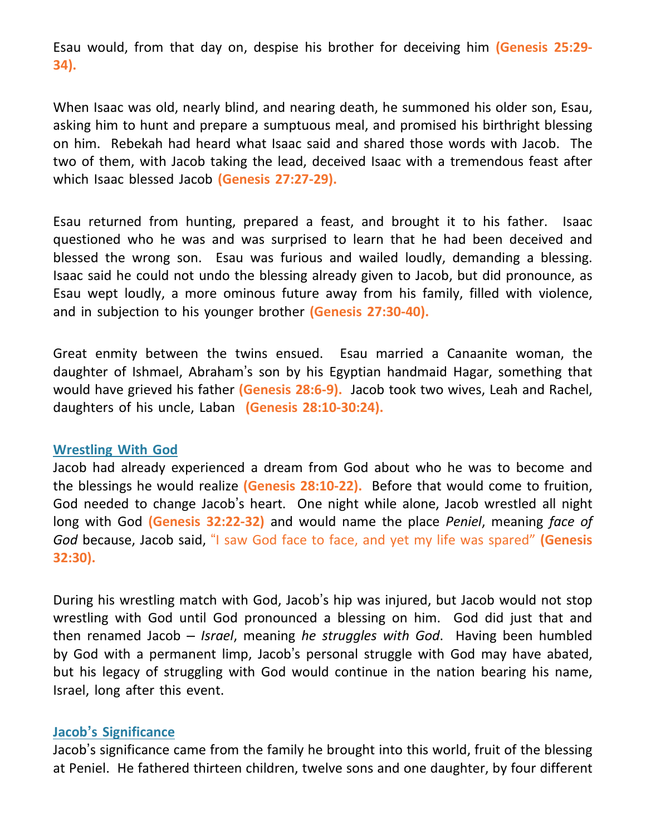Esau would, from that day on, despise his brother for deceiving him **(Genesis 25:29- 34).**

When Isaac was old, nearly blind, and nearing death, he summoned his older son, Esau, asking him to hunt and prepare a sumptuous meal, and promised his birthright blessing on him. Rebekah had heard what Isaac said and shared those words with Jacob. The two of them, with Jacob taking the lead, deceived Isaac with a tremendous feast after which Isaac blessed Jacob **(Genesis 27:27-29).**

Esau returned from hunting, prepared a feast, and brought it to his father. Isaac questioned who he was and was surprised to learn that he had been deceived and blessed the wrong son. Esau was furious and wailed loudly, demanding a blessing. Isaac said he could not undo the blessing already given to Jacob, but did pronounce, as Esau wept loudly, a more ominous future away from his family, filled with violence, and in subjection to his younger brother **(Genesis 27:30-40).**

Great enmity between the twins ensued. Esau married a Canaanite woman, the daughter of Ishmael, Abraham's son by his Egyptian handmaid Hagar, something that would have grieved his father **(Genesis 28:6-9).** Jacob took two wives, Leah and Rachel, daughters of his uncle, Laban **(Genesis 28:10-30:24).**

#### **Wrestling With God**

Jacob had already experienced a dream from God about who he was to become and the blessings he would realize **(Genesis 28:10-22).** Before that would come to fruition, God needed to change Jacob's heart. One night while alone, Jacob wrestled all night long with God **(Genesis 32:22-32)** and would name the place *Peniel*, meaning *face of God* because, Jacob said, "I saw God face to face, and yet my life was spared" **(Genesis 32:30).**

During his wrestling match with God, Jacob's hip was injured, but Jacob would not stop wrestling with God until God pronounced a blessing on him. God did just that and then renamed Jacob – *Israel*, meaning *he struggles with God*. Having been humbled by God with a permanent limp, Jacob's personal struggle with God may have abated, but his legacy of struggling with God would continue in the nation bearing his name, Israel, long after this event.

## **Jacob's Significance**

Jacob's significance came from the family he brought into this world, fruit of the blessing at Peniel. He fathered thirteen children, twelve sons and one daughter, by four different